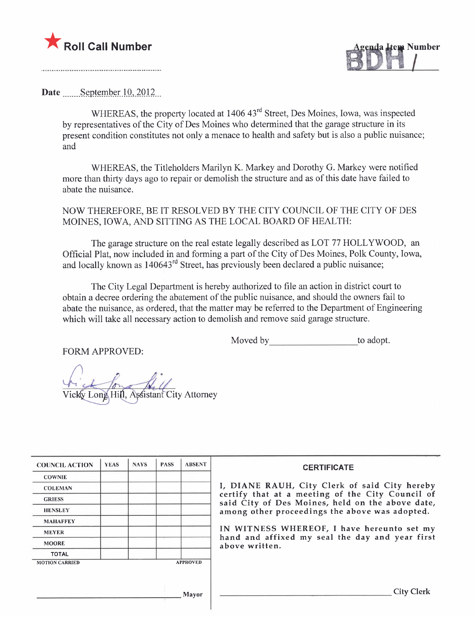



Date September  $10, 2012$ 

WHEREAS, the property located at 1406 43<sup>rd</sup> Street, Des Moines, Iowa, was inspected by representatives of the City of Des Moines who determined that the garage structure in its present condition constitutes not only a menace to health and safety but is also a public nuisance; and

WHEREAS, the Titleholders Marilyn K. Markey and Dorothy G. Markey were notified more than thirty days ago to repair or demolish the structure and as of this date have failed to abate the nuisance.

NOW THEREFORE, BE IT RESOLVED BY THE CITY COUNCIL OF THE CITY OF DES MOINES, IOWA, AND SITTING AS THE LOCAL BOARD OF HEALTH:

The garage structure on the real estate legally described as LOT 77 HOLLYWOOD, an Official Plat, now included in and forming a part of the City of Des Moines, Polk County, Iowa, and locally known as 140643<sup>rd</sup> Street, has previously been declared a public nuisance;

The City Legal Department is hereby authorized to file an action in district court to obtain a decree ordering the abatement of the public nuisance, and should the owners fail to abate the nuisance, as ordered, that the matter may be referred to the Department of Engineering which will take all necessary action to demolish and remove said garage structure.

FORM APPROVED:

Moved by to adopt.

Hill. Assistant City Attorney Vic

| <b>COUNCIL ACTION</b> | <b>YEAS</b> | <b>NAYS</b> | <b>PASS</b> | <b>ABSENT</b>   | <b>CERTIFICATE</b>                                                                                   |
|-----------------------|-------------|-------------|-------------|-----------------|------------------------------------------------------------------------------------------------------|
| <b>COWNIE</b>         |             |             |             |                 |                                                                                                      |
| <b>COLEMAN</b>        |             |             |             |                 | I, DIANE RAUH, City Clerk of said City hereby                                                        |
| <b>GRIESS</b>         |             |             |             |                 | certify that at a meeting of the City Council of<br>said City of Des Moines, held on the above date, |
| <b>HENSLEY</b>        |             |             |             |                 | among other proceedings the above was adopted.                                                       |
| <b>MAHAFFEY</b>       |             |             |             |                 |                                                                                                      |
| <b>MEYER</b>          |             |             |             |                 | IN WITNESS WHEREOF, I have hereunto set my<br>hand and affixed my seal the day and year first        |
| <b>MOORE</b>          |             |             |             |                 | above written.                                                                                       |
| <b>TOTAL</b>          |             |             |             |                 |                                                                                                      |
| <b>MOTION CARRIED</b> |             |             |             | <b>APPROVED</b> |                                                                                                      |
|                       |             |             |             |                 |                                                                                                      |
|                       |             |             |             | Mayor           | <b>City Clerk</b>                                                                                    |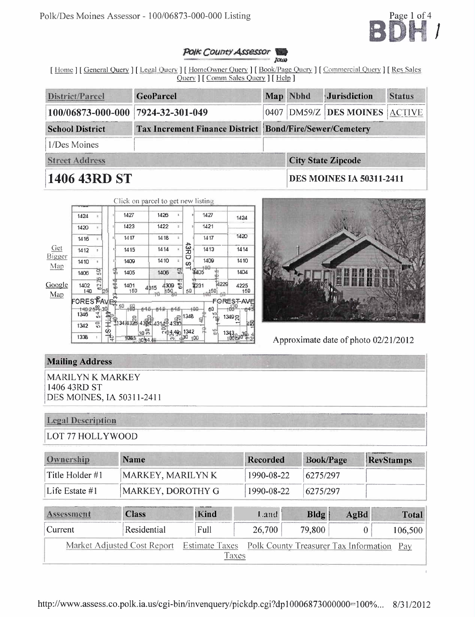

#### POIK COUDTY Assessor **JOUN**

[Home] [General Query] [Legal Query] [HomeOwner Query] [Book/Page Query] [Commercial Query] [Res Sales Query | [ Comm Sales Query ] [ Help ]

| District/Parcel                                                                     | <b>GeoParcel</b> |  | Map Nbhd                        | <b>Jurisdiction</b>                 | <b>Status</b> |
|-------------------------------------------------------------------------------------|------------------|--|---------------------------------|-------------------------------------|---------------|
| 100/06873-000-000 7924-32-301-049                                                   |                  |  |                                 | 0407   DM59/Z   DES MOINES   ACTIVE |               |
| Tax Increment Finance District   Bond/Fire/Sewer/Cemetery<br><b>School District</b> |                  |  |                                 |                                     |               |
| 1/Des Moines                                                                        |                  |  |                                 |                                     |               |
| <b>Street Address</b>                                                               |                  |  |                                 | <b>City State Zipcode</b>           |               |
| 1406 43RD ST                                                                        |                  |  | <b>DES MOINES IA 50311-2411</b> |                                     |               |

|        |                                                                                                   |                            |            | Click on parcel to get new listing |                     |     |             |             |            |                                                  |
|--------|---------------------------------------------------------------------------------------------------|----------------------------|------------|------------------------------------|---------------------|-----|-------------|-------------|------------|--------------------------------------------------|
|        | 1424                                                                                              |                            | $\ddot{ }$ | 1427                               | 1426                | t.  |             | 1427        |            | 1424                                             |
|        | 1420                                                                                              | z.                         | ¢,         | 1423                               | 1422                | z   |             | 1421        |            |                                                  |
|        | 1416                                                                                              |                            | ×,         | 1417                               | 1418                | ÷,  |             | 1417        |            | 1420                                             |
| Get    | 1412                                                                                              | ÷                          |            | 1415                               | 1414                | ż,  | <b>CARD</b> | 1413        |            | 1414                                             |
| Bigger | 1410                                                                                              | ä,                         |            | 1409                               | 1410                | Ŧ   | w           | 1409        |            | 1410                                             |
| Map    | 1405                                                                                              | ក្ក                        |            | 1405                               | 1406                | 믮   |             | 1405        |            | 1404                                             |
| Google | 1402<br>140                                                                                       | 綬<br>$\mathbb{Z}_{\geq 0}$ | 얥          | 1401<br>150                        | 4300<br>4315<br>150 | 684 | 50          | 1231<br>450 | 4229<br>fЮ | 4225<br>150                                      |
| Map    | ORESTAVER<br>$\frac{140.256}{140.256}$ 30<br>$\frac{1}{10}$ $\frac{1}{10}$ $\frac{1}{10}$<br>1346 |                            |            | 50<br>400<br>84.<br>1347438        |                     |     | 480<br>1348 | 60<br>꼮     |            | <b>FOREST-AVE</b><br>$+6e^{30}$<br>ñ43<br>1349 당 |
|        | 1342                                                                                              | $\frac{1}{2}$              | 子の         |                                    | 4384 4314 4310      |     | 1342        |             |            | 40                                               |
|        | 1338                                                                                              | ä,                         | ą          | $30\degree$<br>1041<br>309448      | $E_{12,490}$<br>ëñ  |     | 430         | 앏<br>ЮŨ     | 1343,      | $3\vert \psi$<br>0083                            |



Approximate date of photo 02/21/2012

# **Mailing Address**

**MARILYN K MARKEY** 1406 43RD ST DES MOINES, IA 50311-2411

# **Legal Description**

LOT 77 HOLLYWOOD

| <b>Ownership</b>                     | Name                 | Recorded   | <b>Book/Page</b> | <b>RevStamps</b>      |
|--------------------------------------|----------------------|------------|------------------|-----------------------|
| Title Holder #1<br>MARKEY, MARILYN K |                      | 1990-08-22 | 6275/297         |                       |
| Life Estate #1                       | MARKEY, DOROTHY G    | 1990-08-22 | 6275/297         |                       |
| Assessment                           | <b>Kind</b><br>Class | ಾಗಲೆ       | Rldo             | $A \sigma R$<br>Total |

| <b>ASSESSMENT</b> | Ciass                                                                                | TN na | L anu- | BIQI   | Agba | Total   |
|-------------------|--------------------------------------------------------------------------------------|-------|--------|--------|------|---------|
| Current           | Residential                                                                          | Full  | 26,700 | 79,800 |      | 106,500 |
|                   | Market Adjusted Cost Report Estimate Taxes Polk County Treasurer Tax Information Pay | Taxes |        |        |      |         |
|                   |                                                                                      |       |        |        |      |         |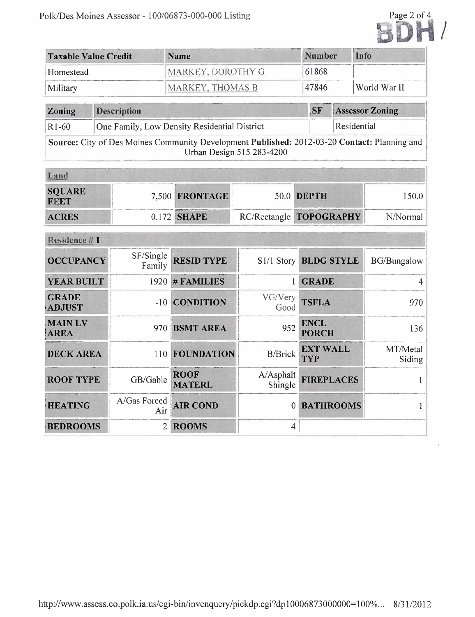

| Taxable Value Credit | <b>Name</b>              | Number | Info         |
|----------------------|--------------------------|--------|--------------|
| Homestead            | MARKEY, DOROTHY G        | 61868  |              |
| Military             | <b>MARKEY, THOMAS B.</b> | 47846  | World War II |

| <b>Zoning</b> | <b>Description</b>                           | <b>SF</b> | <b>Assessor Zoning</b> |
|---------------|----------------------------------------------|-----------|------------------------|
| $R1-60$       | One Family, Low Density Residential District |           | Residential            |

Source: City of Des Moines Community Development Published: 2012-03-20 Contact: Planning and Urban Design 515 283-4200

| Land                  |                  |                         |          |
|-----------------------|------------------|-------------------------|----------|
| <b>SQUARE</b><br>FEET | $7,500$ FRONTAGE | 50.0 DEPTH              | 150.0    |
| <b>ACRES</b>          | $0.172$ SHAPE    | RC/Rectangle TOPOGRAPHY | N/Normal |

| Residence #1                  |                     |                              |                      |                               |                    |
|-------------------------------|---------------------|------------------------------|----------------------|-------------------------------|--------------------|
| <b>OCCUPANCY</b>              | SF/Single<br>Family | <b>RESID TYPE</b>            |                      | S1/1 Story BLDG STYLE         | <b>BG/Bungalow</b> |
| <b>YEAR BUILT</b>             | 1920                | # FAMILIES                   |                      | <b>GRADE</b>                  |                    |
| <b>GRADE</b><br><b>ADJUST</b> | $-10$               | <b>CONDITION</b>             | VG/Very<br>Good      | <b>TSFLA</b>                  | 970                |
| <b>MAIN LV</b><br><b>AREA</b> | 970                 | <b>BSMT AREA</b>             | 952                  | <b>ENCL</b><br><b>PORCH</b>   | 136                |
| <b>DECK AREA</b>              | 110                 | <b>FOUNDATION</b>            | <b>B/Brick</b>       | <b>EXT WALL</b><br><b>TYP</b> | MT/Metal<br>Siding |
| <b>ROOF TYPE</b>              | GB/Gable            | <b>ROOF</b><br><b>MATERL</b> | A/Asphalt<br>Shingle | <b>FIREPLACES</b>             |                    |
| <b>HEATING</b>                | A/Gas Forced<br>Air | <b>AIR COND</b>              | $\theta$             | <b>BATHROOMS</b>              |                    |
| <b>BEDROOMS</b>               | $\overline{2}$      | <b>ROOMS</b>                 | 4                    |                               |                    |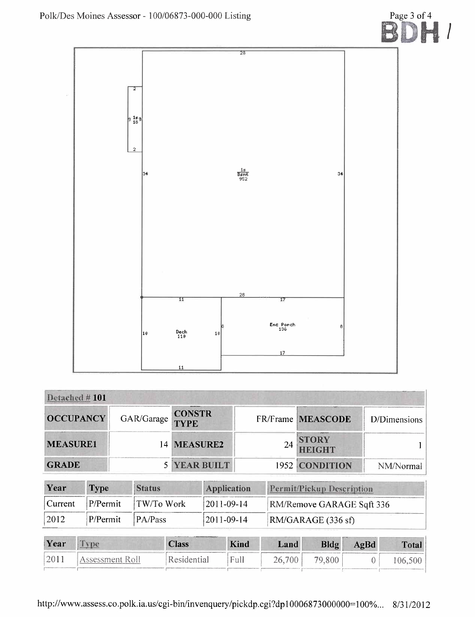

| Detached #101    |            |                              |    |                               |              |
|------------------|------------|------------------------------|----|-------------------------------|--------------|
| <b>OCCUPANCY</b> | GAR/Garage | <b>CONSTR</b><br><b>TYPE</b> |    | FR/Frame MEASCODE             | D/Dimensions |
| <b>MEASURE1</b>  |            | 14 MEASURE2                  | 24 | <b>STORY</b><br><b>HEIGHT</b> |              |
| <b>GRADE</b>     |            | <b>5 YEAR BUILT</b>          |    | 1952 CONDITION                | NM/Normal    |

| Year           | <b>Type</b> | <b>Status</b>               | <b>Application</b> | <b>Permit/Pickup Description</b> |
|----------------|-------------|-----------------------------|--------------------|----------------------------------|
| Current        | P/Permit    | ⊟TW/To Work                 | $ 2011-09-14 $     | RM/Remove GARAGE Sqft 336        |
| $ 2012\rangle$ | P/Permit    | $\mathsf{PA}/\mathsf{Pass}$ | 2011-09-14         | RM/GARAGE (336 sf)               |

| Year | <b>Class</b> | <b>Kind</b> | Land   | <b>Bldg</b> | AgBd | Total |
|------|--------------|-------------|--------|-------------|------|-------|
|      | tesidential  | Full        | $00\,$ |             |      | 00,5  |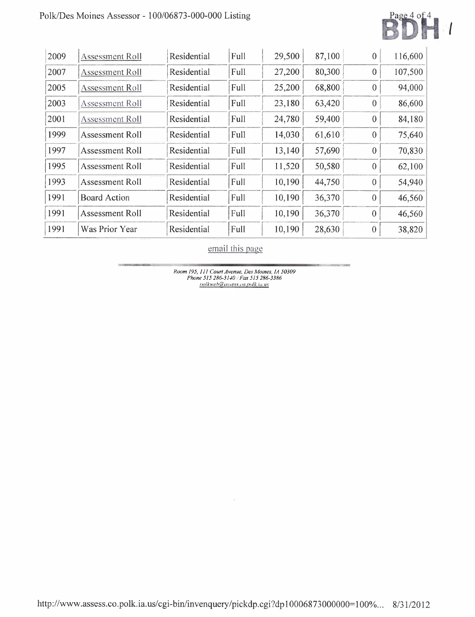# Polk/Des Moines Assessor - 100/06873-000-000 Listing



| 2009 | Assessment Roll        | Residential | Full | 29,500 | 87,100 | $\theta$     | 116,600 |
|------|------------------------|-------------|------|--------|--------|--------------|---------|
| 2007 | <b>Assessment Roll</b> | Residential | Full | 27,200 | 80,300 | $\theta$     | 107,500 |
| 2005 | Assessment Roll        | Residential | Full | 25,200 | 68,800 | $\Omega$     | 94,000  |
| 2003 | Assessment Roll        | Residential | Full | 23,180 | 63,420 | $\theta$     | 86,600  |
| 2001 | Assessment Roll        | Residential | Full | 24,780 | 59,400 | $\theta$     | 84,180  |
| 1999 | <b>Assessment Roll</b> | Residential | Full | 14,030 | 61,610 | $\theta$     | 75,640  |
| 1997 | Assessment Roll        | Residential | Full | 13,140 | 57,690 | $\theta$     | 70,830  |
| 1995 | Assessment Roll        | Residential | Full | 11,520 | 50,580 | $\theta$     | 62,100  |
| 1993 | Assessment Roll        | Residential | Full | 10,190 | 44,750 | $\theta$     | 54,940  |
| 1991 | <b>Board Action</b>    | Residential | Full | 10,190 | 36,370 | $\theta$     | 46,560  |
| 1991 | Assessment Roll        | Residential | Full | 10,190 | 36,370 | $\mathbf{0}$ | 46,560  |
| 1991 | Was Prior Year         | Residential | Full | 10,190 | 28,630 | $\theta$     | 38,820  |

email this page

Room 195, 111 Court Avenue, Des Moines, 1A 50309<br>Phone 515 286-3140 / Fax 515 286-3386<br>polkweb@ussess.co.polk.ia.us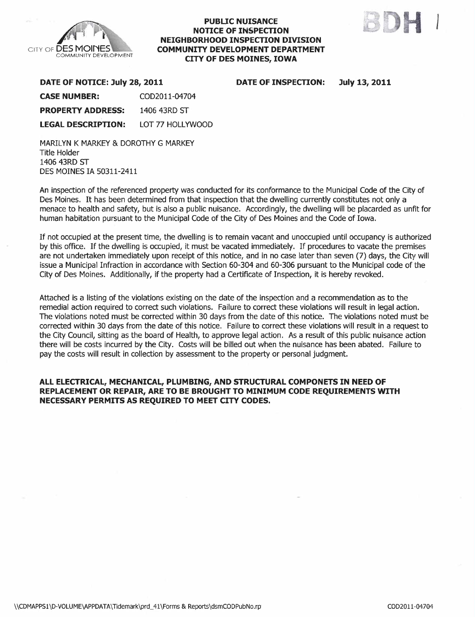

#### PUBLIC NUISANCE NOTICE OF INSPECTON NEIGHBORHOOD INSPECTION DIVISION COMMUNITY DEVELOPMENT DEPARTMENT CITY OF DES MOINES, IOWA



DATE OF INSPECTION: July 13, 2011

| DATE OF NOTICE: July 28, 2011 |                  |  |  |  |  |
|-------------------------------|------------------|--|--|--|--|
| <b>CASE NUMBER:</b>           | COD2011-04704    |  |  |  |  |
| <b>PROPERTY ADDRESS:</b>      | 1406 43RD ST     |  |  |  |  |
| <b>LEGAL DESCRIPTION:</b>     | LOT 77 HOLLYWOOD |  |  |  |  |
|                               |                  |  |  |  |  |

MARILYN K MARKEY & DOROTHY G MARKEY Title Holder 1406 43RD ST DES MOINES IA 50311-2411

An inspection of the referenced property was conducted for its conformance to the Municipal Code of the City of Des Moines. It has been determined from that inspection that the dwelling currently constitutes not only a menace to health and safety, but is also a public nuisance. Accordingly, the dwelling will be placarded as unfit for human habitation pursuant to the Municipal Code of the City of Des Moines and the Code of Iowa.

If not occupied at the present time, the dwelling is to remain vacant and unoccupied until occupancy is authorized by this office. If the dwelling is occupied, it must be vacated immediately. If procedures to vacate the premises are not undertaken immediately upon receipt of this notice, and in no case later than seven (7) days, the City will issue a Municipal Infraction in accordance with Section 60-304 and 60-306 pursuant to the Municipal code of the City of Des Moines. Additionally, if the property had a Certificate of Inspection, it is hereby revoked.

Attached is a listing of the violations existing on the date of the inspection and a recommendation as to the remedial action required to correct such violations. Failure to correct these violations will result in legal action. The violations noted must be corrected within 30 days from the date of this notice. The violations noted must be corrected within 30 days from the date of this notice. Failure to correct these violations will result in a request to the City Council, sitting as the board of Health, to approve legal action. As a result of this public nuisance action there will be costs incurred by the City. Costs will be billed out when the nuisance has been abated. Failure to pay the costs will result in collection by assessment to the property or personal judgment.

#### ALL ELECTRICAL, MECHANICAL, PLUMBING, AND STRUCTURAL COMPONETS IN NEED OF REPLACEMENT OR REPAIR, ARE TO BE BROUGHT TO MINIMUM CODE REQUIREMENTS WITH NECESSARY PERMITS AS REQUIRED TO MEET CITY CODES.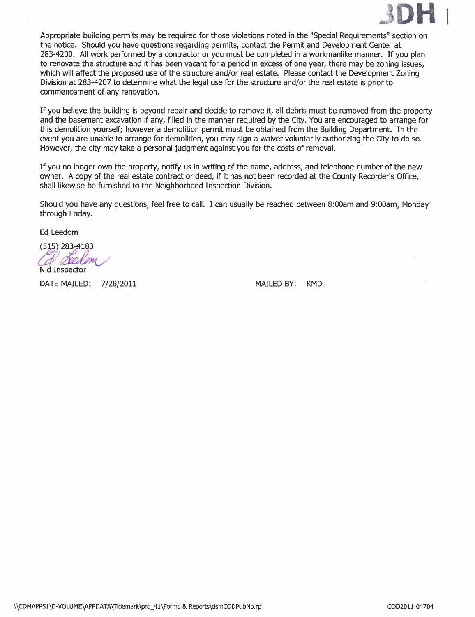

Appropriate building permits may be required for those violations noted in the "Special Requirements" section on the notice. Should you have questions regarding permits, contact the Permit and Development Center at 283-4200. All work performed by a contractor or you must be completed in a workmanlike manner. If you plan to renovate the structure and it has been vacant for a period in excess of one year, there may be zoning issues, which will affect the proposed use of the structure and/or real estate. Please contact the Development Zoning Division at 283-4207 to determine what the legal use for the structure and/or the real estate is prior to commencement of any renovation.

If you believe the building is beyond repair and decide to remove it, all debris must be removed from the propert and the basement excavation if any, filled in the manner required by the City. You are encouraged to arrange for this demolition yourself; however a demolition permit must be obtained from the Building Department. In the event you are unable to arrange for demolition, you may sign a waiver voluntarily authorizing the City to do so. However, the city may take a personal judgment against you for the costs of removaL.

If you no longer own the property, notify us in writing of the name, address, and telephone number of the new owner. A copy of the real estate contract or deed, if it has not been recorded at the County Recorder's Office, shall likewise be furnished to the Neighborhood Inspection Division.

Should you have any questions, feel free to call. I can usually be reached between 8:00am and 9:00am, Monday through Friday.

Ed Leedom

 $(515)$ .283-4183

Qeed on Nid Inspector

DATE MAILED: 7/28/2011 MAILED BY: KMD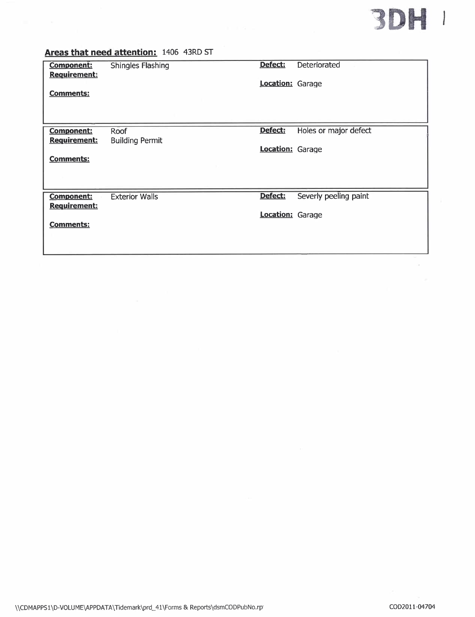

### Areas that need attention: 1406 43RD ST

| <b>Component:</b><br><b>Requirement:</b> | <b>Shingles Flashing</b> | Defect:                 | Deteriorated          |
|------------------------------------------|--------------------------|-------------------------|-----------------------|
| <b>Comments:</b>                         |                          | <b>Location:</b> Garage |                       |
|                                          |                          |                         |                       |
|                                          |                          |                         |                       |
| <b>Component:</b>                        | Roof                     | Defect:                 | Holes or major defect |
| Requirement:                             | <b>Building Permit</b>   | <b>Location:</b> Garage |                       |
| <b>Comments:</b>                         |                          |                         |                       |
|                                          |                          |                         |                       |
| <b>Component:</b>                        | <b>Exterior Walls</b>    | Defect:                 | Severly peeling paint |
| <b>Requirement:</b>                      |                          | Location: Garage        |                       |
| <b>Comments:</b>                         |                          |                         |                       |
|                                          |                          |                         |                       |